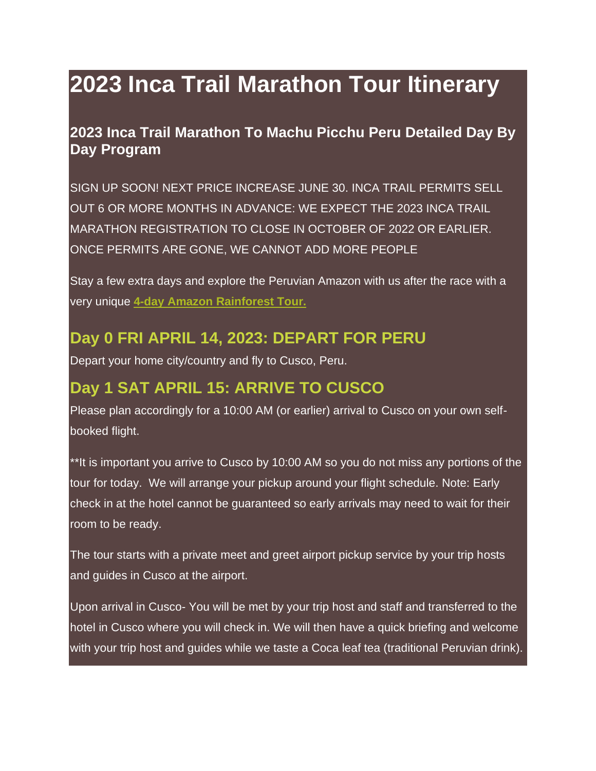# **2023 Inca Trail Marathon Tour Itinerary**

### **2023 Inca Trail Marathon To Machu Picchu Peru Detailed Day By Day Program**

SIGN UP SOON! NEXT PRICE INCREASE JUNE 30. INCA TRAIL PERMITS SELL OUT 6 OR MORE MONTHS IN ADVANCE: WE EXPECT THE 2023 INCA TRAIL MARATHON REGISTRATION TO CLOSE IN OCTOBER OF 2022 OR EARLIER. ONCE PERMITS ARE GONE, WE CANNOT ADD MORE PEOPLE

Stay a few extra days and explore the Peruvian Amazon with us after the race with a very unique **4-day Amazon [Rainforest](http://www.eriksadventures.com/trip/amazon/) Tour.**

### **Day 0 FRI APRIL 14, 2023: DEPART FOR PERU**

Depart your home city/country and fly to Cusco, Peru.

# **Day 1 SAT APRIL 15: ARRIVE TO CUSCO**

Please plan accordingly for a 10:00 AM (or earlier) arrival to Cusco on your own selfbooked flight.

\*\*It is important you arrive to Cusco by 10:00 AM so you do not miss any portions of the tour for today. We will arrange your pickup around your flight schedule. Note: Early check in at the hotel cannot be guaranteed so early arrivals may need to wait for their room to be ready.

The tour starts with a private meet and greet airport pickup service by your trip hosts and guides in Cusco at the airport.

Upon arrival in Cusco- You will be met by your trip host and staff and transferred to the hotel in Cusco where you will check in. We will then have a quick briefing and welcome with your trip host and guides while we taste a Coca leaf tea (traditional Peruvian drink).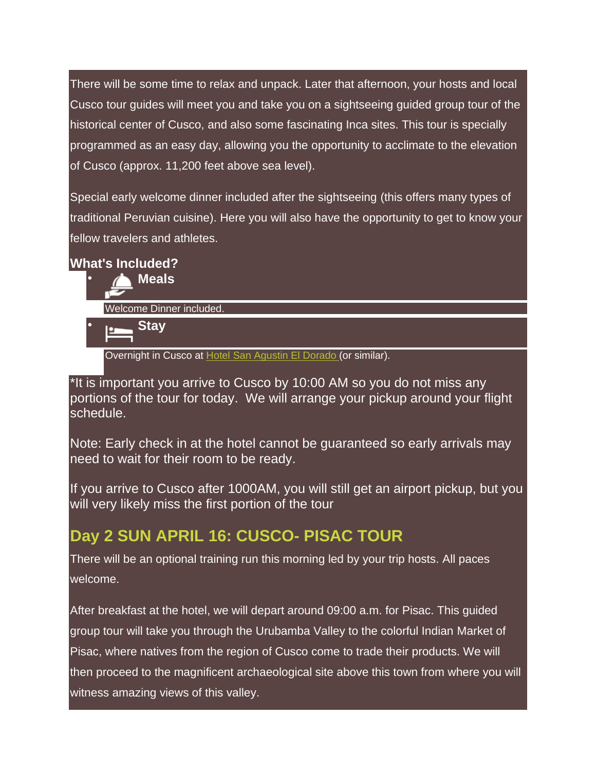There will be some time to relax and unpack. Later that afternoon, your hosts and local Cusco tour guides will meet you and take you on a sightseeing guided group tour of the historical center of Cusco, and also some fascinating Inca sites. This tour is specially programmed as an easy day, allowing you the opportunity to acclimate to the elevation of Cusco (approx. 11,200 feet above sea level).

Special early welcome dinner included after the sightseeing (this offers many types of traditional Peruvian cuisine). Here you will also have the opportunity to get to know your fellow travelers and athletes.

#### **What's Included?**

• **Meals** Welcome Dinner included.

• **Stay**

Overnight in Cusco at Hotel San [Agustin](http://www.hotelessanagustin.com.pe/hotels/cusco/el-dorado/) El Dorado (or similar).

\*It is important you arrive to Cusco by 10:00 AM so you do not miss any portions of the tour for today. We will arrange your pickup around your flight schedule.

Note: Early check in at the hotel cannot be guaranteed so early arrivals may need to wait for their room to be ready.

If you arrive to Cusco after 1000AM, you will still get an airport pickup, but you will very likely miss the first portion of the tour

# **Day 2 SUN APRIL 16: CUSCO- PISAC TOUR**

There will be an optional training run this morning led by your trip hosts. All paces welcome.

After breakfast at the hotel, we will depart around 09:00 a.m. for Pisac. This guided group tour will take you through the Urubamba Valley to the colorful Indian Market of Pisac, where natives from the region of Cusco come to trade their products. We will then proceed to the magnificent archaeological site above this town from where you will witness amazing views of this valley.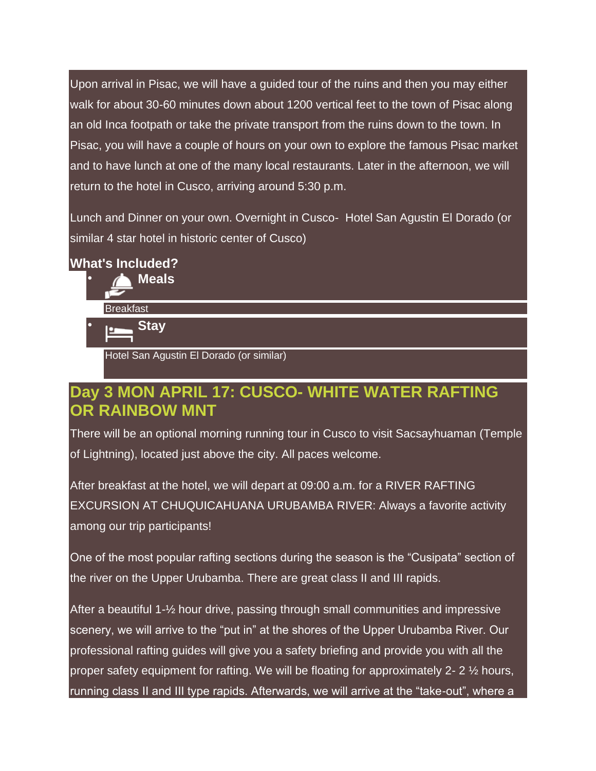Upon arrival in Pisac, we will have a guided tour of the ruins and then you may either walk for about 30-60 minutes down about 1200 vertical feet to the town of Pisac along an old Inca footpath or take the private transport from the ruins down to the town. In Pisac, you will have a couple of hours on your own to explore the famous Pisac market and to have lunch at one of the many local restaurants. Later in the afternoon, we will return to the hotel in Cusco, arriving around 5:30 p.m.

Lunch and Dinner on your own. Overnight in Cusco- Hotel San Agustin El Dorado (or similar 4 star hotel in historic center of Cusco)

#### **What's Included?**

- **Meals Breakfast**
- **Stay**

Hotel San Agustin El Dorado (or similar)

### **Day 3 MON APRIL 17: CUSCO- WHITE WATER RAFTING OR RAINBOW MNT**

There will be an optional morning running tour in Cusco to visit Sacsayhuaman (Temple of Lightning), located just above the city. All paces welcome.

After breakfast at the hotel, we will depart at 09:00 a.m. for a RIVER RAFTING EXCURSION AT CHUQUICAHUANA URUBAMBA RIVER: Always a favorite activity among our trip participants!

One of the most popular rafting sections during the season is the "Cusipata" section of the river on the Upper Urubamba. There are great class II and III rapids.

After a beautiful 1-½ hour drive, passing through small communities and impressive scenery, we will arrive to the "put in" at the shores of the Upper Urubamba River. Our professional rafting guides will give you a safety briefing and provide you with all the proper safety equipment for rafting. We will be floating for approximately 2- 2 ½ hours, running class II and III type rapids. Afterwards, we will arrive at the "take-out", where a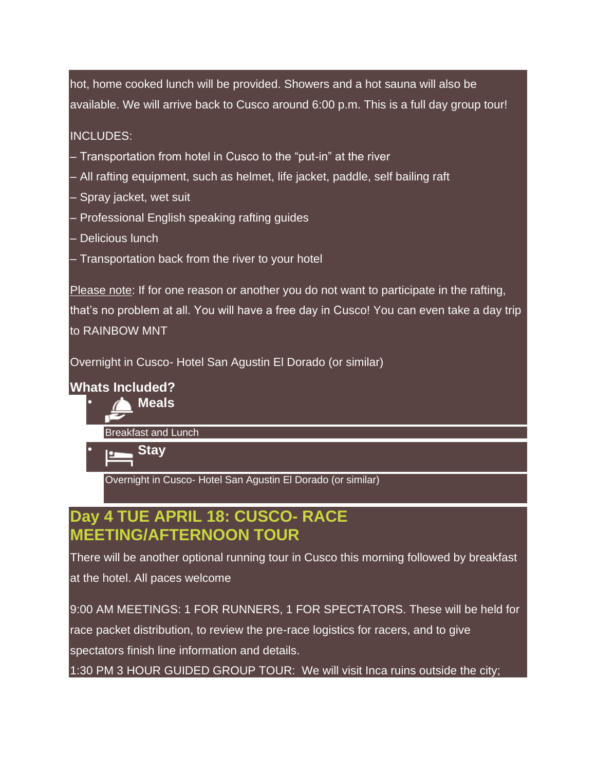hot, home cooked lunch will be provided. Showers and a hot sauna will also be available. We will arrive back to Cusco around 6:00 p.m. This is a full day group tour!

#### INCLUDES:

- Transportation from hotel in Cusco to the "put-in" at the river
- All rafting equipment, such as helmet, life jacket, paddle, self bailing raft
- Spray jacket, wet suit
- Professional English speaking rafting guides
- Delicious lunch
- Transportation back from the river to your hotel

Please note: If for one reason or another you do not want to participate in the rafting, that's no problem at all. You will have a free day in Cusco! You can even take a day trip to RAINBOW MNT

Overnight in Cusco- Hotel San Agustin El Dorado (or similar)

#### **Whats Included?**



Breakfast and Lunch



Overnight in Cusco- Hotel San Agustin El Dorado (or similar)

# **Day 4 TUE APRIL 18: CUSCO- RACE MEETING/AFTERNOON TOUR**

There will be another optional running tour in Cusco this morning followed by breakfast at the hotel. All paces welcome

9:00 AM MEETINGS: 1 FOR RUNNERS, 1 FOR SPECTATORS. These will be held for race packet distribution, to review the pre-race logistics for racers, and to give spectators finish line information and details.

1:30 PM 3 HOUR GUIDED GROUP TOUR: We will visit Inca ruins outside the city;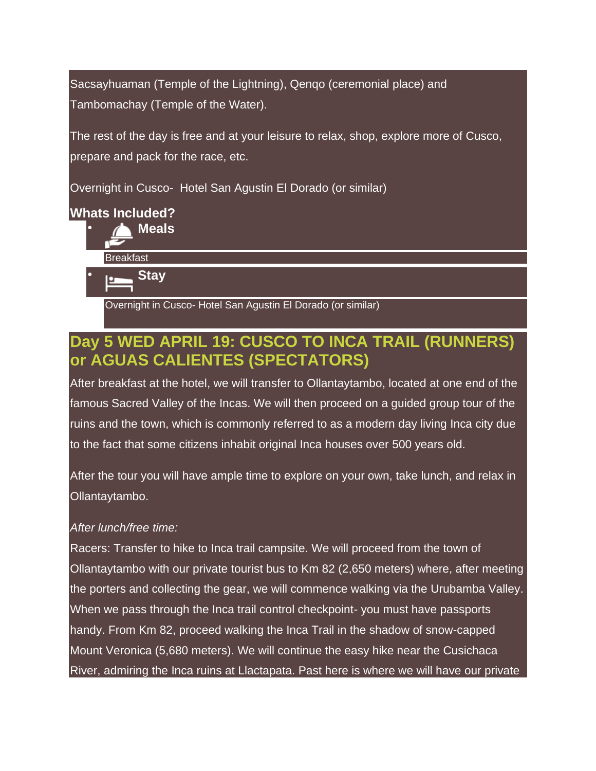Sacsayhuaman (Temple of the Lightning), Qenqo (ceremonial place) and Tambomachay (Temple of the Water).

The rest of the day is free and at your leisure to relax, shop, explore more of Cusco, prepare and pack for the race, etc.

Overnight in Cusco- Hotel San Agustin El Dorado (or similar)

#### **Whats Included?**

- **Meals** Breakfast
- **Stay**

Overnight in Cusco- Hotel San Agustin El Dorado (or similar)

# **Day 5 WED APRIL 19: CUSCO TO INCA TRAIL (RUNNERS) or AGUAS CALIENTES (SPECTATORS)**

After breakfast at the hotel, we will transfer to Ollantaytambo, located at one end of the famous Sacred Valley of the Incas. We will then proceed on a guided group tour of the ruins and the town, which is commonly referred to as a modern day living Inca city due to the fact that some citizens inhabit original Inca houses over 500 years old.

After the tour you will have ample time to explore on your own, take lunch, and relax in Ollantaytambo.

#### *After lunch/free time:*

Racers: Transfer to hike to Inca trail campsite. We will proceed from the town of Ollantaytambo with our private tourist bus to Km 82 (2,650 meters) where, after meeting the porters and collecting the gear, we will commence walking via the Urubamba Valley. When we pass through the Inca trail control checkpoint- you must have passports handy. From Km 82, proceed walking the Inca Trail in the shadow of snow-capped Mount Veronica (5,680 meters). We will continue the easy hike near the Cusichaca River, admiring the Inca ruins at Llactapata. Past here is where we will have our private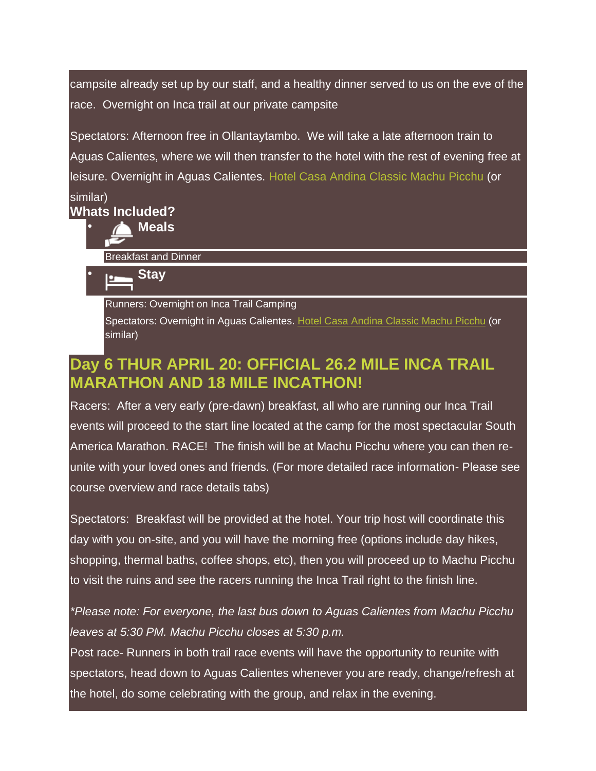campsite already set up by our staff, and a healthy dinner served to us on the eve of the race. Overnight on Inca trail at our private campsite

Spectators: Afternoon free in Ollantaytambo. We will take a late afternoon train to Aguas Calientes, where we will then transfer to the hotel with the rest of evening free at leisure. Overnight in Aguas Calientes. Hotel Casa Andina [Classic](http://www.casa-andina.com/casa-andina-classic-machu-picchu/?lang=en) Machu Picchu (or

#### similar) **Whats Included?**

• **Meals**

Breakfast and Dinner



Runners: Overnight on Inca Trail Camping

Spectators: Overnight in Aguas Calientes. Hotel Casa Andina [Classic](http://www.casa-andina.com/casa-andina-classic-machu-picchu/?lang=en) Machu Picchu (or similar)

# **Day 6 THUR APRIL 20: OFFICIAL 26.2 MILE INCA TRAIL MARATHON AND 18 MILE INCATHON!**

Racers: After a very early (pre-dawn) breakfast, all who are running our Inca Trail events will proceed to the start line located at the camp for the most spectacular South America Marathon. RACE! The finish will be at Machu Picchu where you can then reunite with your loved ones and friends. (For more detailed race information- Please see course overview and race details tabs)

Spectators: Breakfast will be provided at the hotel. Your trip host will coordinate this day with you on-site, and you will have the morning free (options include day hikes, shopping, thermal baths, coffee shops, etc), then you will proceed up to Machu Picchu to visit the ruins and see the racers running the Inca Trail right to the finish line.

### *\*Please note: For everyone, the last bus down to Aguas Calientes from Machu Picchu leaves at 5:30 PM. Machu Picchu closes at 5:30 p.m.*

Post race- Runners in both trail race events will have the opportunity to reunite with spectators, head down to Aguas Calientes whenever you are ready, change/refresh at the hotel, do some celebrating with the group, and relax in the evening.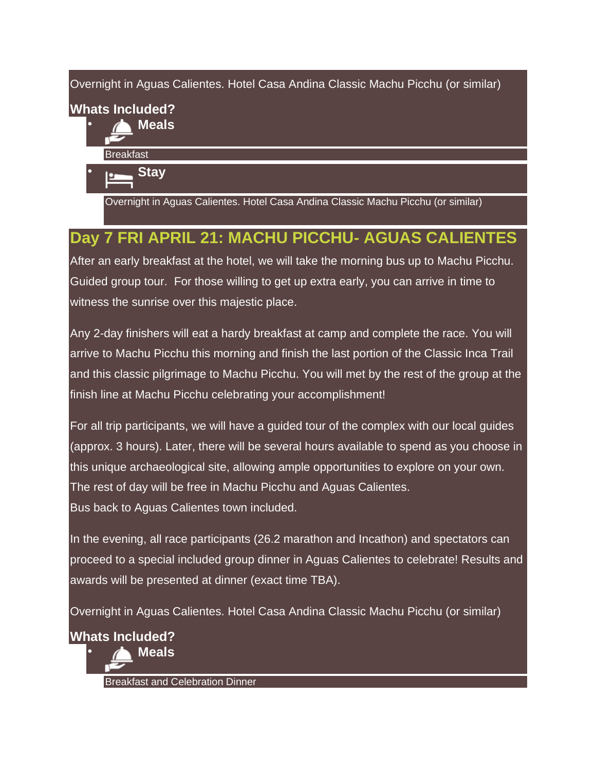Overnight in Aguas Calientes. Hotel Casa Andina Classic Machu Picchu (or similar)

# **Whats Included?**

• **Meals**

**Breakfast** 

• **Stay**

Overnight in Aguas Calientes. Hotel Casa Andina Classic Machu Picchu (or similar)

# **Day 7 FRI APRIL 21: MACHU PICCHU- AGUAS CALIENTES**

After an early breakfast at the hotel, we will take the morning bus up to Machu Picchu. Guided group tour. For those willing to get up extra early, you can arrive in time to witness the sunrise over this majestic place.

Any 2-day finishers will eat a hardy breakfast at camp and complete the race. You will arrive to Machu Picchu this morning and finish the last portion of the Classic Inca Trail and this classic pilgrimage to Machu Picchu. You will met by the rest of the group at the finish line at Machu Picchu celebrating your accomplishment!

For all trip participants, we will have a guided tour of the complex with our local guides (approx. 3 hours). Later, there will be several hours available to spend as you choose in this unique archaeological site, allowing ample opportunities to explore on your own. The rest of day will be free in Machu Picchu and Aguas Calientes. Bus back to Aguas Calientes town included.

In the evening, all race participants (26.2 marathon and Incathon) and spectators can proceed to a special included group dinner in Aguas Calientes to celebrate! Results and awards will be presented at dinner (exact time TBA).

Overnight in Aguas Calientes. Hotel Casa Andina Classic Machu Picchu (or similar)

**Whats Included?**



Breakfast and Celebration Dinner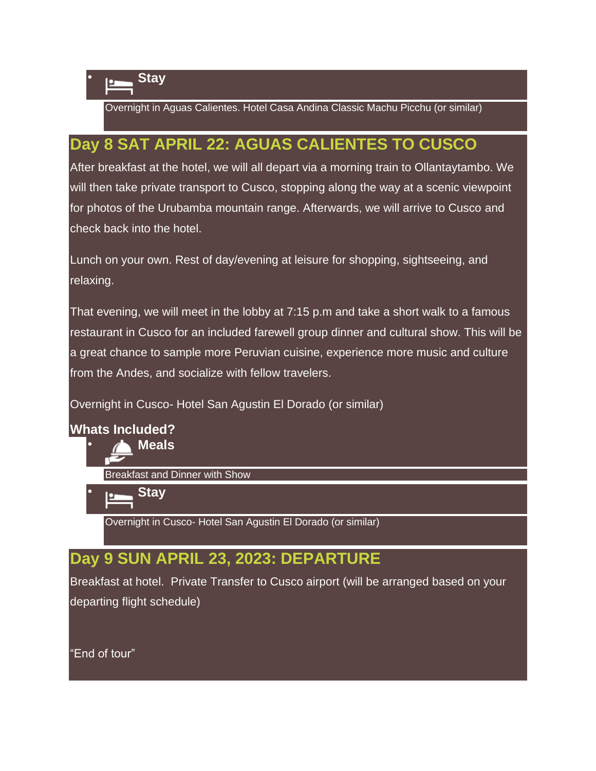

Overnight in Aguas Calientes. Hotel Casa Andina Classic Machu Picchu (or similar)

# **Day 8 SAT APRIL 22: AGUAS CALIENTES TO CUSCO**

After breakfast at the hotel, we will all depart via a morning train to Ollantaytambo. We will then take private transport to Cusco, stopping along the way at a scenic viewpoint for photos of the Urubamba mountain range. Afterwards, we will arrive to Cusco and check back into the hotel.

Lunch on your own. Rest of day/evening at leisure for shopping, sightseeing, and relaxing.

That evening, we will meet in the lobby at 7:15 p.m and take a short walk to a famous restaurant in Cusco for an included farewell group dinner and cultural show. This will be a great chance to sample more Peruvian cuisine, experience more music and culture from the Andes, and socialize with fellow travelers.

Overnight in Cusco- Hotel San Agustin El Dorado (or similar)

#### **Whats Included?**

• **Meals**

Breakfast and Dinner with Show

• **Stay**

Overnight in Cusco- Hotel San Agustin El Dorado (or similar)

# **Day 9 SUN APRIL 23, 2023: DEPARTURE**

Breakfast at hotel. Private Transfer to Cusco airport (will be arranged based on your departing flight schedule)

"End of tour"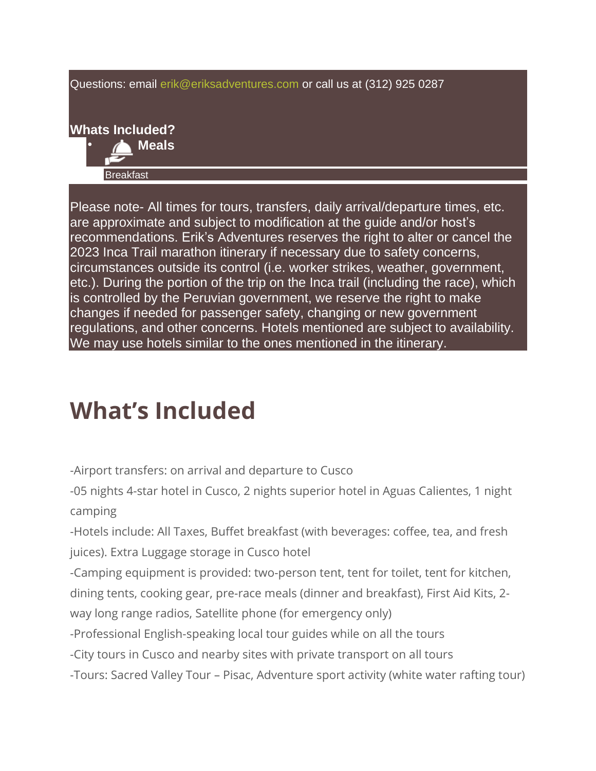Questions: email [erik@eriksadventures.com](mailto:erik@eriksadventures.com) or call us at (312) 925 0287

# **Whats Included?**



Please note- All times for tours, transfers, daily arrival/departure times, etc. are approximate and subject to modification at the guide and/or host's recommendations. Erik's Adventures reserves the right to alter or cancel the 2023 Inca Trail marathon itinerary if necessary due to safety concerns, circumstances outside its control (i.e. worker strikes, weather, government, etc.). During the portion of the trip on the Inca trail (including the race), which is controlled by the Peruvian government, we reserve the right to make changes if needed for passenger safety, changing or new government regulations, and other concerns. Hotels mentioned are subject to availability. We may use hotels similar to the ones mentioned in the itinerary.

# **What's Included**

-Airport transfers: on arrival and departure to Cusco

-05 nights 4-star hotel in Cusco, 2 nights superior hotel in Aguas Calientes, 1 night camping

-Hotels include: All Taxes, Buffet breakfast (with beverages: coffee, tea, and fresh juices). Extra Luggage storage in Cusco hotel

-Camping equipment is provided: two-person tent, tent for toilet, tent for kitchen, dining tents, cooking gear, pre-race meals (dinner and breakfast), First Aid Kits, 2 way long range radios, Satellite phone (for emergency only)

-Professional English-speaking local tour guides while on all the tours

-City tours in Cusco and nearby sites with private transport on all tours

-Tours: Sacred Valley Tour – Pisac, Adventure sport activity (white water rafting tour)